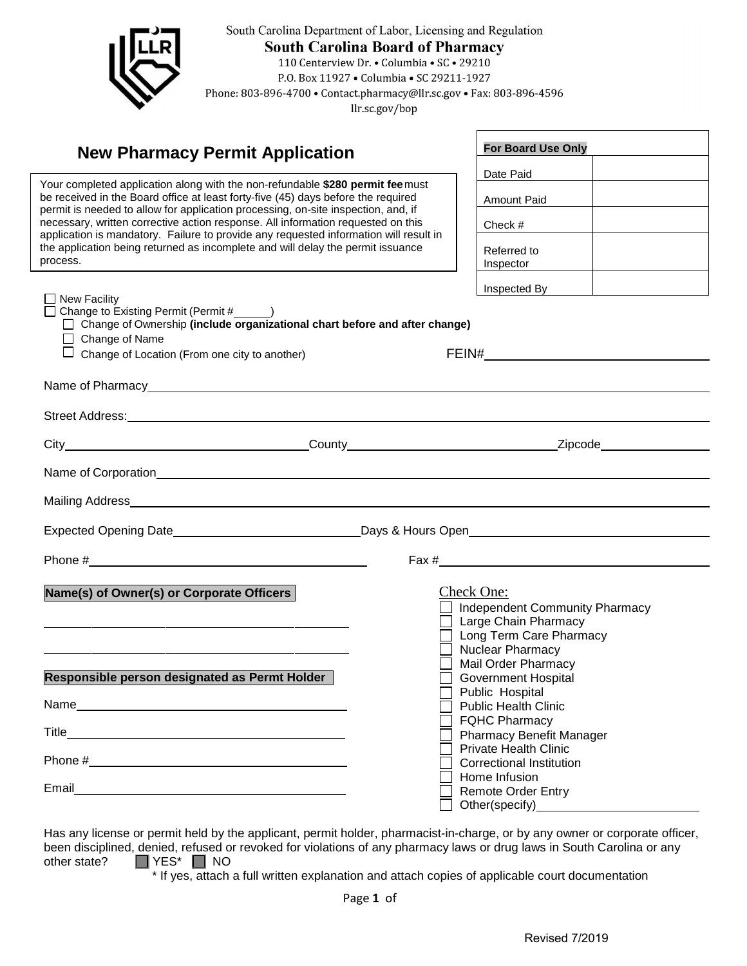

South Carolina Department of Labor, Licensing and Regulation **South Carolina Board of Pharmacy** 110 Centerview Dr. • Columbia • SC • 29210 P.O. Box 11927 . Columbia . SC 29211-1927

Phone: 803-896-4700 • Contact.pharmacy@llr.sc.gov • Fax: 803-896-4596

llr.sc.gov/bop

## **New Pharmacy Permit Application**

application is mandatory. Failure to provide any requested information will result in Your completed application along with the non-refundable **\$280 permit fee**must be received in the Board office at least forty-five (45) days before the required permit is needed to allow for application processing, on-site inspection, and, if necessary, written corrective action response. All information requested on this the application being returned as incomplete and will delay the permit issuance process.

| <b>For Board Use Only</b> |  |
|---------------------------|--|
| Date Paid                 |  |
| Amount Paid               |  |
| Check #                   |  |
| Referred to<br>Inspector  |  |
| Inspected By              |  |

|                                                                              | Inspected By                                                                                                                                                                                                                                                                                   |
|------------------------------------------------------------------------------|------------------------------------------------------------------------------------------------------------------------------------------------------------------------------------------------------------------------------------------------------------------------------------------------|
| □ Change of Ownership (include organizational chart before and after change) |                                                                                                                                                                                                                                                                                                |
| Change of Location (From one city to another)                                | FEIN# 2008 2009 2012 2022 2023 2024 2022 2023 2024 2022 2023 2024 2022 2023 2024 2022 2023 2024 2025 2026 2027                                                                                                                                                                                 |
|                                                                              |                                                                                                                                                                                                                                                                                                |
|                                                                              |                                                                                                                                                                                                                                                                                                |
|                                                                              |                                                                                                                                                                                                                                                                                                |
|                                                                              |                                                                                                                                                                                                                                                                                                |
|                                                                              |                                                                                                                                                                                                                                                                                                |
|                                                                              |                                                                                                                                                                                                                                                                                                |
|                                                                              | Fax $\frac{H}{2}$ Fax $\frac{H}{2}$ Fax $\frac{H}{2}$ Fax $\frac{H}{2}$ Fax $\frac{H}{2}$ Fax $\frac{H}{2}$ Fax $\frac{H}{2}$ Fax $\frac{H}{2}$ Fax $\frac{H}{2}$ Fax $\frac{H}{2}$ Fax $\frac{H}{2}$ Fax $\frac{H}{2}$ Fax $\frac{H}{2}$ Fax $\frac{H}{2}$ Fax $\frac{H}{2}$ Fax $\frac{H}{2$ |
|                                                                              | Check One:                                                                                                                                                                                                                                                                                     |
|                                                                              | <b>Independent Community Pharmacy</b>                                                                                                                                                                                                                                                          |
|                                                                              | Large Chain Pharmacy<br>Long Term Care Pharmacy                                                                                                                                                                                                                                                |
|                                                                              | Nuclear Pharmacy                                                                                                                                                                                                                                                                               |
|                                                                              | <b>Mail Order Pharmacy</b>                                                                                                                                                                                                                                                                     |
|                                                                              | <b>Government Hospital</b><br>Public Hospital                                                                                                                                                                                                                                                  |
|                                                                              | <b>Public Health Clinic</b>                                                                                                                                                                                                                                                                    |
|                                                                              | <b>FQHC Pharmacy</b>                                                                                                                                                                                                                                                                           |
|                                                                              | <b>Pharmacy Benefit Manager</b><br><b>Private Health Clinic</b>                                                                                                                                                                                                                                |
|                                                                              | <b>Correctional Institution</b>                                                                                                                                                                                                                                                                |
|                                                                              |                                                                                                                                                                                                                                                                                                |
|                                                                              | Home Infusion<br><b>Remote Order Entry</b>                                                                                                                                                                                                                                                     |
|                                                                              | Responsible person designated as Permt Holder<br>Phone $\#$                                                                                                                                                                                                                                    |

Has any license or permit held by the applicant, permit holder, pharmacist-in-charge, or by any owner or corporate officer, been disciplined, denied, refused or revoked for violations of any pharmacy laws or drug laws in South Carolina or any other state?<br>
THES\* IT NO  $\Box$  YES\*  $\Box$  NO

\* If yes, attach a full written explanation and attach copies of applicable court documentation